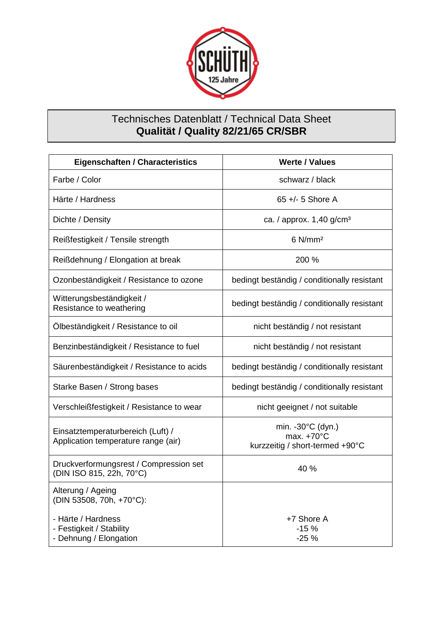

## Technisches Datenblatt / Technical Data Sheet **Qualität / Quality 82/21/65 CR/SBR**

| <b>Eigenschaften / Characteristics</b>                                   | <b>Werte / Values</b>                                                        |
|--------------------------------------------------------------------------|------------------------------------------------------------------------------|
| Farbe / Color                                                            | schwarz / black                                                              |
| Härte / Hardness                                                         | 65 $+/- 5$ Shore A                                                           |
| Dichte / Density                                                         | ca. / approx. 1,40 g/cm <sup>3</sup>                                         |
| Reißfestigkeit / Tensile strength                                        | $6$ N/mm <sup>2</sup>                                                        |
| Reißdehnung / Elongation at break                                        | 200 %                                                                        |
| Ozonbeständigkeit / Resistance to ozone                                  | bedingt beständig / conditionally resistant                                  |
| Witterungsbeständigkeit /<br>Resistance to weathering                    | bedingt beständig / conditionally resistant                                  |
| Ölbeständigkeit / Resistance to oil                                      | nicht beständig / not resistant                                              |
| Benzinbeständigkeit / Resistance to fuel                                 | nicht beständig / not resistant                                              |
| Säurenbeständigkeit / Resistance to acids                                | bedingt beständig / conditionally resistant                                  |
| Starke Basen / Strong bases                                              | bedingt beständig / conditionally resistant                                  |
| Verschleißfestigkeit / Resistance to wear                                | nicht geeignet / not suitable                                                |
| Einsatztemperaturbereich (Luft) /<br>Application temperature range (air) | min. -30°C (dyn.)<br>max. $+70^{\circ}$ C<br>kurzzeitig / short-termed +90°C |
| Druckverformungsrest / Compression set<br>(DIN ISO 815, 22h, 70°C)       | 40 %                                                                         |
| Alterung / Ageing<br>(DIN 53508, 70h, +70°C):                            |                                                                              |
| - Härte / Hardness<br>- Festigkeit / Stability<br>- Dehnung / Elongation | +7 Shore A<br>$-15%$<br>$-25%$                                               |